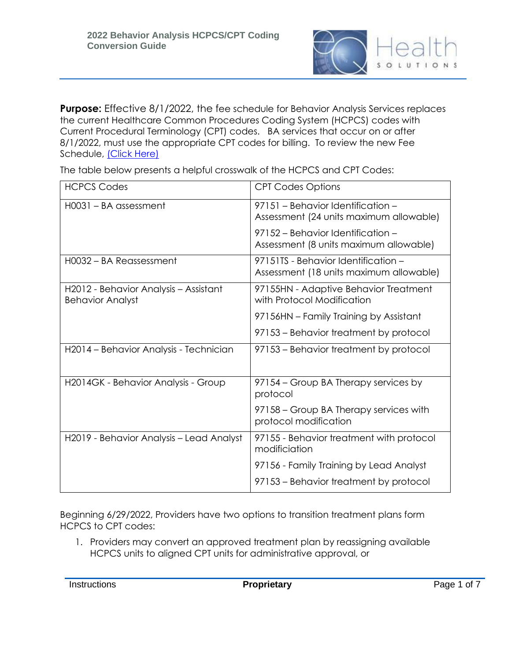

**Purpose:** Effective 8/1/2022, the fee schedule for Behavior Analysis Services replaces the current Healthcare Common Procedures Coding System (HCPCS) codes with Current Procedural Terminology (CPT) codes. BA services that occur on or after 8/1/2022, must use the appropriate CPT codes for billing. To review the new Fee Schedule, [\(Click Here\)](https://ahca.myflorida.com/medicaid/review/Reimbursement/2022-01-01_Fee_Sched_Billing_Codes/BA_Services_2022_Fee_Schedule.pdf)

The table below presents a helpful crosswalk of the HCPCS and CPT Codes:

| <b>HCPCS Codes</b>                                               | <b>CPT Codes Options</b>                                                       |
|------------------------------------------------------------------|--------------------------------------------------------------------------------|
| H0031 - BA assessment                                            | 97151 - Behavior Identification -<br>Assessment (24 units maximum allowable)   |
|                                                                  | 97152 - Behavior Identification -<br>Assessment (8 units maximum allowable)    |
| H0032 - BA Reassessment                                          | 97151TS - Behavior Identification -<br>Assessment (18 units maximum allowable) |
| H2012 - Behavior Analysis - Assistant<br><b>Behavior Analyst</b> | 97155HN - Adaptive Behavior Treatment<br>with Protocol Modification            |
|                                                                  | 97156HN - Family Training by Assistant                                         |
|                                                                  | 97153 – Behavior treatment by protocol                                         |
| H2014 - Behavior Analysis - Technician                           | 97153 – Behavior treatment by protocol                                         |
| H2014GK - Behavior Analysis - Group                              | 97154 – Group BA Therapy services by<br>protocol                               |
|                                                                  | 97158 – Group BA Therapy services with<br>protocol modification                |
| H2019 - Behavior Analysis – Lead Analyst                         | 97155 - Behavior treatment with protocol<br>modificiation                      |
|                                                                  | 97156 - Family Training by Lead Analyst                                        |
|                                                                  | 97153 – Behavior treatment by protocol                                         |

Beginning 6/29/2022, Providers have two options to transition treatment plans form HCPCS to CPT codes:

1. Providers may convert an approved treatment plan by reassigning available HCPCS units to aligned CPT units for administrative approval, or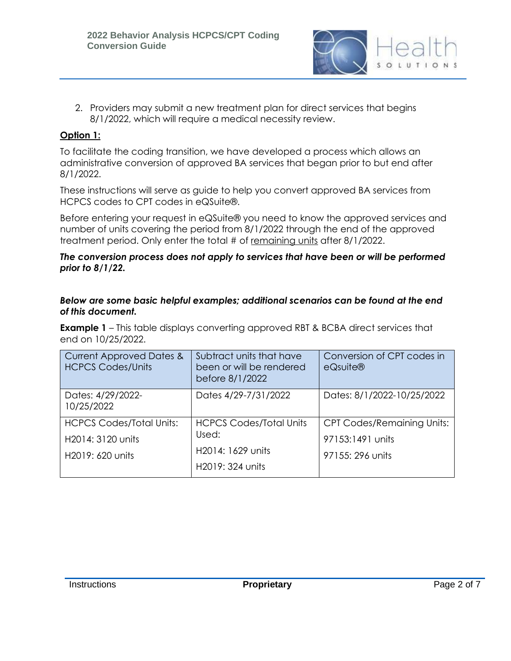

2. Providers may submit a new treatment plan for direct services that begins 8/1/2022, which will require a medical necessity review.

## **Option 1:**

To facilitate the coding transition, we have developed a process which allows an administrative conversion of approved BA services that began prior to but end after 8/1/2022.

These instructions will serve as guide to help you convert approved BA services from HCPCS codes to CPT codes in eQSuite®.

Before entering your request in eQSuite® you need to know the approved services and number of units covering the period from 8/1/2022 through the end of the approved treatment period. Only enter the total # of remaining units after 8/1/2022.

#### *The conversion process does not apply to services that have been or will be performed prior to 8/1/22.*

#### *Below are some basic helpful examples; additional scenarios can be found at the end of this document.*

**Example 1** – This table displays converting approved RBT & BCBA direct services that end on 10/25/2022.

| <b>Current Approved Dates &amp;</b><br><b>HCPCS Codes/Units</b>          | Subtract units that have<br>been or will be rendered<br>before 8/1/2022          | Conversion of CPT codes in<br>eQsuite®                                    |
|--------------------------------------------------------------------------|----------------------------------------------------------------------------------|---------------------------------------------------------------------------|
| Dates: 4/29/2022-<br>10/25/2022                                          | Dates 4/29-7/31/2022                                                             | Dates: 8/1/2022-10/25/2022                                                |
| <b>HCPCS Codes/Total Units:</b><br>H2014: 3120 units<br>H2019: 620 units | <b>HCPCS Codes/Total Units</b><br>Used:<br>H2014: 1629 units<br>H2019: 324 units | <b>CPT Codes/Remaining Units:</b><br>97153:1491 units<br>97155: 296 units |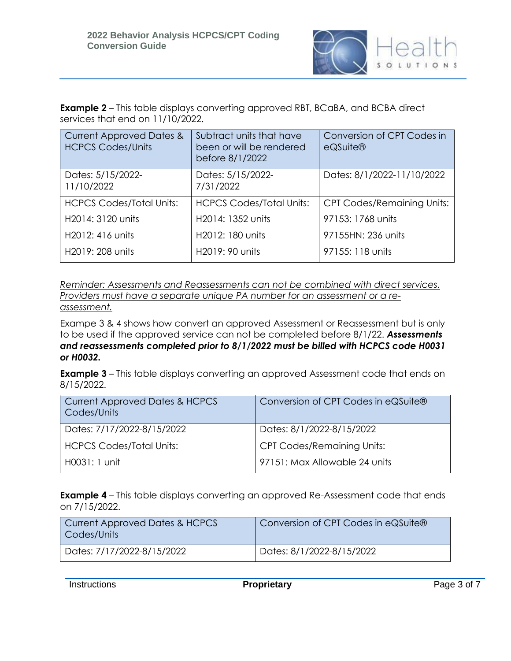

**Example 2** – This table displays converting approved RBT, BCaBA, and BCBA direct services that end on 11/10/2022.

| <b>Current Approved Dates &amp;</b><br><b>HCPCS Codes/Units</b> | Subtract units that have<br>been or will be rendered<br>before 8/1/2022 | Conversion of CPT Codes in<br>$e$ QSuite $\circledR$ |
|-----------------------------------------------------------------|-------------------------------------------------------------------------|------------------------------------------------------|
| Dates: 5/15/2022-<br>11/10/2022                                 | Dates: 5/15/2022-<br>7/31/2022                                          | Dates: 8/1/2022-11/10/2022                           |
| <b>HCPCS Codes/Total Units:</b>                                 | <b>HCPCS Codes/Total Units:</b>                                         | <b>CPT Codes/Remaining Units:</b>                    |
| H <sub>2014</sub> : 31 <sub>20</sub> units                      | H <sub>2014</sub> : 1352 units                                          | 97153: 1768 units                                    |
| H <sub>2012</sub> : 416 units                                   | H <sub>2012</sub> : 180 units                                           | 97155HN: 236 units                                   |
| H2019: 208 units                                                | H2019: 90 units                                                         | 97155: 118 units                                     |

*Reminder: Assessments and Reassessments can not be combined with direct services. Providers must have a separate unique PA number for an assessment or a reassessment.* 

Exampe 3 & 4 shows how convert an approved Assessment or Reassessment but is only to be used if the approved service can not be completed before 8/1/22. *Assessments and reassessments completed prior to 8/1/2022 must be billed with HCPCS code H0031 or H0032.* 

**Example 3** – This table displays converting an approved Assessment code that ends on 8/15/2022.

| <b>Current Approved Dates &amp; HCPCS</b><br>Codes/Units | Conversion of CPT Codes in eQSuite® |
|----------------------------------------------------------|-------------------------------------|
| Dates: 7/17/2022-8/15/2022                               | Dates: 8/1/2022-8/15/2022           |
| <b>HCPCS Codes/Total Units:</b>                          | CPT Codes/Remaining Units:          |
| H0031: 1 unit                                            | 97151: Max Allowable 24 units       |

**Example 4** – This table displays converting an approved Re-Assessment code that ends on 7/15/2022.

| <b>Current Approved Dates &amp; HCPCS</b><br>Codes/Units | Conversion of CPT Codes in eQSuite® |
|----------------------------------------------------------|-------------------------------------|
| Dates: 7/17/2022-8/15/2022                               | Dates: 8/1/2022-8/15/2022           |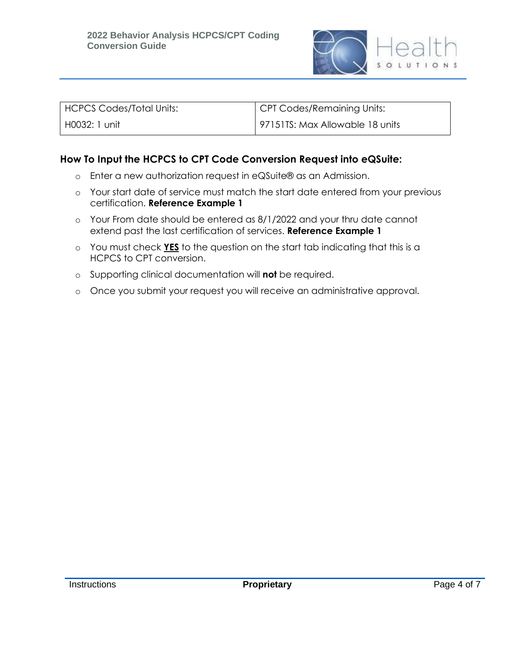

| HCPCS Codes/Total Units: | CPT Codes/Remaining Units:      |
|--------------------------|---------------------------------|
| H0032: 1 unit            | 97151TS: Max Allowable 18 units |

## **How To Input the HCPCS to CPT Code Conversion Request into eQSuite:**

- o Enter a new authorization request in eQSuite® as an Admission.
- o Your start date of service must match the start date entered from your previous certification. **Reference Example 1**
- o Your From date should be entered as 8/1/2022 and your thru date cannot extend past the last certification of services. **Reference Example 1**
- o You must check **YES** to the question on the start tab indicating that this is a HCPCS to CPT conversion.
- o Supporting clinical documentation will **not** be required.
- o Once you submit your request you will receive an administrative approval.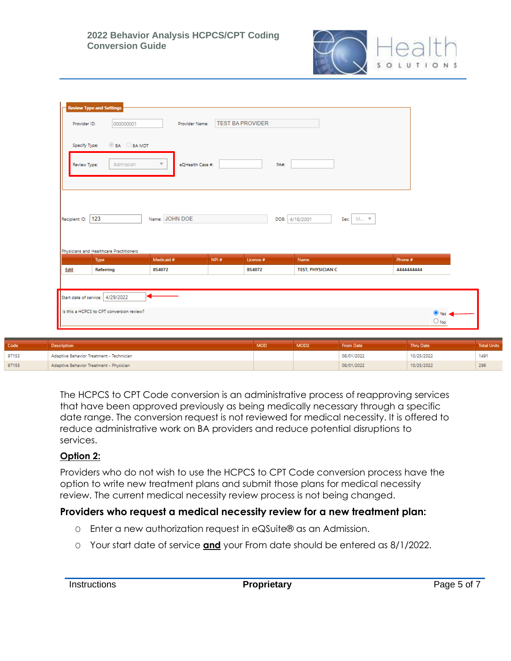

| Provider ID:      | 000000001                               | Provider Name:                              |      | <b>TEST BA PROVIDER</b> |                               |            |  |
|-------------------|-----------------------------------------|---------------------------------------------|------|-------------------------|-------------------------------|------------|--|
| Specify Type:     | <b>BA BAMDT</b>                         |                                             |      |                         |                               |            |  |
| Review Type:      | Admission                               | $\overline{\mathbf{v}}$<br>eQHealth Case #: |      | PA#:                    |                               |            |  |
|                   |                                         |                                             |      |                         |                               |            |  |
|                   |                                         |                                             |      |                         |                               |            |  |
| Recipient ID: 123 |                                         | Name: JOHN DOE                              |      |                         | M ▼<br>DOB: 4/18/2001<br>Sex: |            |  |
|                   |                                         |                                             |      |                         |                               |            |  |
|                   | Physicians and Healthcare Practitioners |                                             |      |                         |                               |            |  |
|                   | Type                                    | Medicaid #                                  | NPI# | License #               | Name                          | Phone #    |  |
| Edit              | Referring                               | 854072                                      |      | 854072                  | <b>TEST, PHYSICIAN C</b>      | 4444444444 |  |

| Code  | <b>Description</b>                       | <b>MOD</b> | MOD <sub>2</sub> | From Date  | Thru Date  | <b>Total Units</b> |
|-------|------------------------------------------|------------|------------------|------------|------------|--------------------|
| 97153 | Adaptive Behavior Treatment - Technician |            |                  | 08/01/2022 | 10/25/2022 | 1491               |
| 97155 | Adaptive Behavior Treatment - Physician  |            |                  | 08/01/2022 | 10/25/2022 | 296                |

The HCPCS to CPT Code conversion is an administrative process of reapproving services that have been approved previously as being medically necessary through a specific date range. The conversion request is not reviewed for medical necessity. It is offered to reduce administrative work on BA providers and reduce potential disruptions to services.

## **Option 2:**

Providers who do not wish to use the HCPCS to CPT Code conversion process have the option to write new treatment plans and submit those plans for medical necessity review. The current medical necessity review process is not being changed.

## **Providers who request a medical necessity review for a new treatment plan:**

- O Enter a new authorization request in eQSuite® as an Admission.
- O Your start date of service **and** your From date should be entered as 8/1/2022.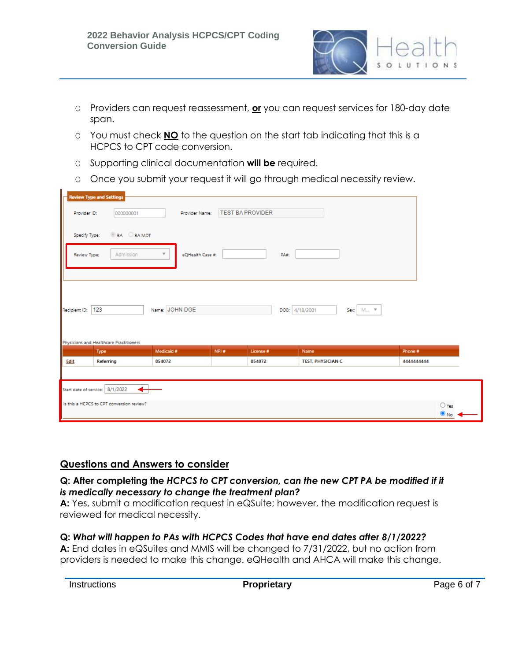

- O Providers can request reassessment, **or** you can request services for 180-day date span.
- O You must check **NO** to the question on the start tab indicating that this is a HCPCS to CPT code conversion.
- O Supporting clinical documentation **will be** required.
- O Once you submit your request it will go through medical necessity review.

|               | <b>Review Type and Settings</b>           |                                             |                         |                |                          |                                |
|---------------|-------------------------------------------|---------------------------------------------|-------------------------|----------------|--------------------------|--------------------------------|
| Provider ID:  | 000000001                                 | Provider Name:                              | <b>TEST BA PROVIDER</b> |                |                          |                                |
| Specify Type: | <b>BA BAMDT</b>                           |                                             |                         |                |                          |                                |
| Review Type:  | Admission                                 | $\overline{\mathbf{v}}$<br>eQHealth Case #: |                         | PA#:           |                          |                                |
|               |                                           |                                             |                         |                |                          |                                |
|               |                                           |                                             |                         |                |                          |                                |
| Recipient ID: | 123                                       | Name: JOHN DOE                              |                         | DOB: 4/18/2001 | M ▼<br>Sex:              |                                |
|               |                                           |                                             |                         |                |                          |                                |
|               |                                           |                                             |                         |                |                          |                                |
|               | Physicians and Healthcare Practitioners   |                                             |                         |                |                          |                                |
|               | Type                                      | Medicaid #                                  | NPI#                    | License #      | Name                     | Phone #                        |
| Edit          | <b>Referring</b>                          | 854072                                      |                         | 854072         | <b>TEST, PHYSICIAN C</b> | 4444444444                     |
|               |                                           |                                             |                         |                |                          |                                |
|               | Start date of service: 8/1/2022<br>↽      |                                             |                         |                |                          |                                |
|               | Is this a HCPCS to CPT conversion review? |                                             |                         |                |                          | $\bigcirc$ Yes<br>$\bullet$ No |
|               |                                           |                                             |                         |                |                          |                                |

# **Questions and Answers to consider**

#### **Q: After completing the** *HCPCS to CPT conversion, can the new CPT PA be modified if it is medically necessary to change the treatment plan?*

**A:** Yes, submit a modification request in eQSuite; however, the modification request is reviewed for medical necessity.

## **Q:** *What will happen to PAs with HCPCS Codes that have end dates after 8/1/2022?*

**A:** End dates in eQSuites and MMIS will be changed to 7/31/2022, but no action from providers is needed to make this change. eQHealth and AHCA will make this change.